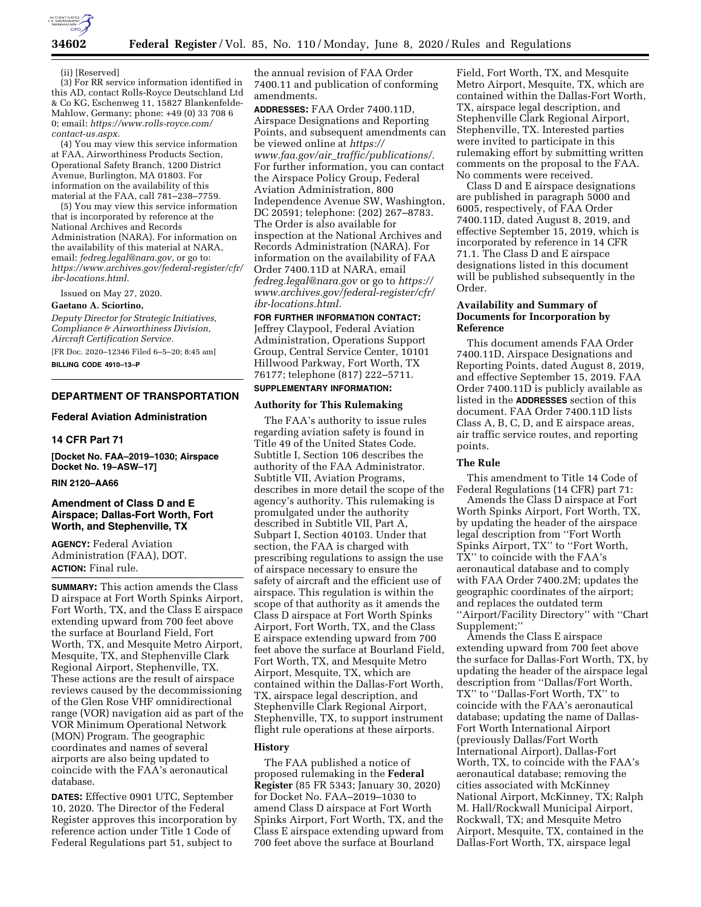

(ii) [Reserved]

(3) For RR service information identified in this AD, contact Rolls-Royce Deutschland Ltd & Co KG, Eschenweg 11, 15827 Blankenfelde-Mahlow, Germany; phone: +49 (0) 33 708 6 0; email: *[https://www.rolls-royce.com/](https://www.rolls-royce.com/contact-us.aspx)  [contact-us.aspx.](https://www.rolls-royce.com/contact-us.aspx)* 

(4) You may view this service information at FAA, Airworthiness Products Section, Operational Safety Branch, 1200 District Avenue, Burlington, MA 01803. For information on the availability of this material at the FAA, call 781–238–7759.

(5) You may view this service information that is incorporated by reference at the National Archives and Records Administration (NARA). For information on the availability of this material at NARA, email: *[fedreg.legal@nara.gov,](mailto:fedreg.legal@nara.gov)* or go to: *[https://www.archives.gov/federal-register/cfr/](https://www.archives.gov/federal-register/cfr/ibr-locations.html) [ibr-locations.html.](https://www.archives.gov/federal-register/cfr/ibr-locations.html)* 

Issued on May 27, 2020.

## **Gaetano A. Sciortino,**

*Deputy Director for Strategic Initiatives, Compliance & Airworthiness Division, Aircraft Certification Service.* 

[FR Doc. 2020–12346 Filed 6–5–20; 8:45 am]

**BILLING CODE 4910–13–P** 

## **DEPARTMENT OF TRANSPORTATION**

## **Federal Aviation Administration**

## **14 CFR Part 71**

**[Docket No. FAA–2019–1030; Airspace Docket No. 19–ASW–17]** 

#### **RIN 2120–AA66**

## **Amendment of Class D and E Airspace; Dallas-Fort Worth, Fort Worth, and Stephenville, TX**

**AGENCY:** Federal Aviation Administration (FAA), DOT. **ACTION:** Final rule.

**SUMMARY:** This action amends the Class D airspace at Fort Worth Spinks Airport, Fort Worth, TX, and the Class E airspace extending upward from 700 feet above the surface at Bourland Field, Fort Worth, TX, and Mesquite Metro Airport, Mesquite, TX, and Stephenville Clark Regional Airport, Stephenville, TX. These actions are the result of airspace reviews caused by the decommissioning of the Glen Rose VHF omnidirectional range (VOR) navigation aid as part of the VOR Minimum Operational Network (MON) Program. The geographic coordinates and names of several airports are also being updated to coincide with the FAA's aeronautical database.

**DATES:** Effective 0901 UTC, September 10, 2020. The Director of the Federal Register approves this incorporation by reference action under Title 1 Code of Federal Regulations part 51, subject to

the annual revision of FAA Order 7400.11 and publication of conforming amendments.

**ADDRESSES:** FAA Order 7400.11D, Airspace Designations and Reporting Points, and subsequent amendments can be viewed online at *[https://](https://www.faa.gov/air_traffic/publications/) www.faa.gov/air*\_*[traffic/publications/.](https://www.faa.gov/air_traffic/publications/)*  For further information, you can contact the Airspace Policy Group, Federal Aviation Administration, 800 Independence Avenue SW, Washington, DC 20591; telephone: (202) 267–8783. The Order is also available for inspection at the National Archives and Records Administration (NARA). For information on the availability of FAA Order 7400.11D at NARA, email *[fedreg.legal@nara.gov](mailto:fedreg.legal@nara.gov)* or go to *[https://](https://www.archives.gov/federal-register/cfr/ibr-locations.html) [www.archives.gov/federal-register/cfr/](https://www.archives.gov/federal-register/cfr/ibr-locations.html)  [ibr-locations.html.](https://www.archives.gov/federal-register/cfr/ibr-locations.html)* 

### **FOR FURTHER INFORMATION CONTACT:**

Jeffrey Claypool, Federal Aviation Administration, Operations Support Group, Central Service Center, 10101 Hillwood Parkway, Fort Worth, TX 76177; telephone (817) 222–5711.

# **SUPPLEMENTARY INFORMATION:**

### **Authority for This Rulemaking**

The FAA's authority to issue rules regarding aviation safety is found in Title 49 of the United States Code. Subtitle I, Section 106 describes the authority of the FAA Administrator. Subtitle VII, Aviation Programs, describes in more detail the scope of the agency's authority. This rulemaking is promulgated under the authority described in Subtitle VII, Part A, Subpart I, Section 40103. Under that section, the FAA is charged with prescribing regulations to assign the use of airspace necessary to ensure the safety of aircraft and the efficient use of airspace. This regulation is within the scope of that authority as it amends the Class D airspace at Fort Worth Spinks Airport, Fort Worth, TX, and the Class E airspace extending upward from 700 feet above the surface at Bourland Field, Fort Worth, TX, and Mesquite Metro Airport, Mesquite, TX, which are contained within the Dallas-Fort Worth, TX, airspace legal description, and Stephenville Clark Regional Airport, Stephenville, TX, to support instrument flight rule operations at these airports.

## **History**

The FAA published a notice of proposed rulemaking in the **Federal Register** (85 FR 5343; January 30, 2020) for Docket No. FAA–2019–1030 to amend Class D airspace at Fort Worth Spinks Airport, Fort Worth, TX, and the Class E airspace extending upward from 700 feet above the surface at Bourland

Field, Fort Worth, TX, and Mesquite Metro Airport, Mesquite, TX, which are contained within the Dallas-Fort Worth, TX, airspace legal description, and Stephenville Clark Regional Airport, Stephenville, TX. Interested parties were invited to participate in this rulemaking effort by submitting written comments on the proposal to the FAA. No comments were received.

Class D and E airspace designations are published in paragraph 5000 and 6005, respectively, of FAA Order 7400.11D, dated August 8, 2019, and effective September 15, 2019, which is incorporated by reference in 14 CFR 71.1. The Class D and E airspace designations listed in this document will be published subsequently in the Order.

## **Availability and Summary of Documents for Incorporation by Reference**

This document amends FAA Order 7400.11D, Airspace Designations and Reporting Points, dated August 8, 2019, and effective September 15, 2019. FAA Order 7400.11D is publicly available as listed in the **ADDRESSES** section of this document. FAA Order 7400.11D lists Class A, B, C, D, and E airspace areas, air traffic service routes, and reporting points.

### **The Rule**

This amendment to Title 14 Code of Federal Regulations (14 CFR) part 71:

Amends the Class D airspace at Fort Worth Spinks Airport, Fort Worth, TX, by updating the header of the airspace legal description from ''Fort Worth Spinks Airport, TX'' to ''Fort Worth, TX'' to coincide with the FAA's aeronautical database and to comply with FAA Order 7400.2M; updates the geographic coordinates of the airport; and replaces the outdated term ''Airport/Facility Directory'' with ''Chart Supplement;''

Amends the Class E airspace extending upward from 700 feet above the surface for Dallas-Fort Worth, TX, by updating the header of the airspace legal description from ''Dallas/Fort Worth, TX'' to ''Dallas-Fort Worth, TX'' to coincide with the FAA's aeronautical database; updating the name of Dallas-Fort Worth International Airport (previously Dallas/Fort Worth International Airport), Dallas-Fort Worth, TX, to coincide with the FAA's aeronautical database; removing the cities associated with McKinney National Airport, McKinney, TX; Ralph M. Hall/Rockwall Municipal Airport, Rockwall, TX; and Mesquite Metro Airport, Mesquite, TX, contained in the Dallas-Fort Worth, TX, airspace legal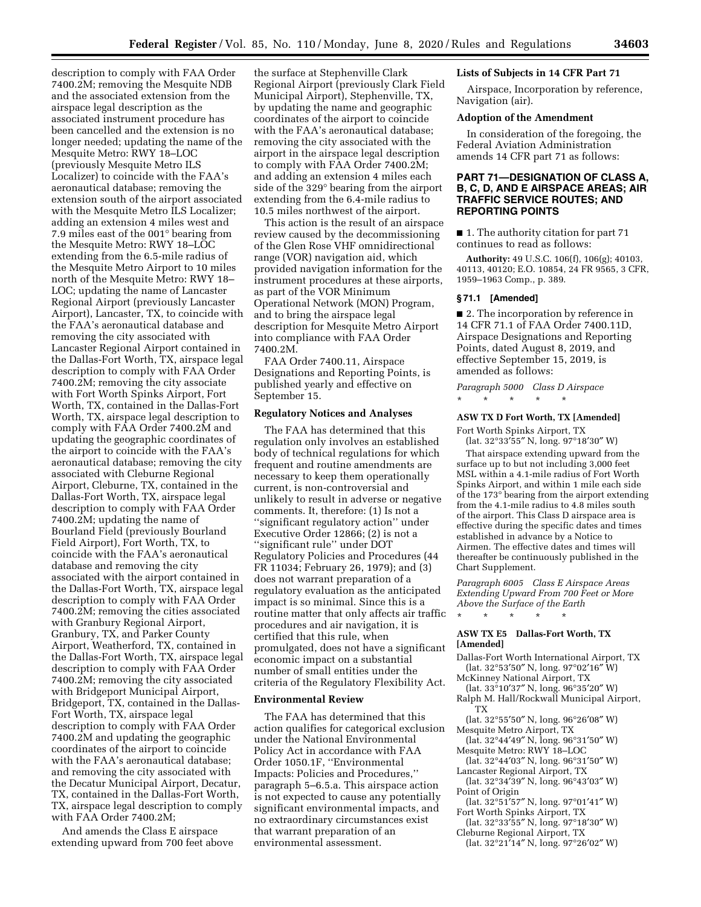description to comply with FAA Order 7400.2M; removing the Mesquite NDB and the associated extension from the airspace legal description as the associated instrument procedure has been cancelled and the extension is no longer needed; updating the name of the Mesquite Metro: RWY 18–LOC (previously Mesquite Metro ILS Localizer) to coincide with the FAA's aeronautical database; removing the extension south of the airport associated with the Mesquite Metro ILS Localizer; adding an extension 4 miles west and 7.9 miles east of the 001° bearing from the Mesquite Metro: RWY 18–LOC extending from the 6.5-mile radius of the Mesquite Metro Airport to 10 miles north of the Mesquite Metro: RWY 18– LOC; updating the name of Lancaster Regional Airport (previously Lancaster Airport), Lancaster, TX, to coincide with the FAA's aeronautical database and removing the city associated with Lancaster Regional Airport contained in the Dallas-Fort Worth, TX, airspace legal description to comply with FAA Order 7400.2M; removing the city associate with Fort Worth Spinks Airport, Fort Worth, TX, contained in the Dallas-Fort Worth, TX, airspace legal description to comply with FAA Order 7400.2M and updating the geographic coordinates of the airport to coincide with the FAA's aeronautical database; removing the city associated with Cleburne Regional Airport, Cleburne, TX, contained in the Dallas-Fort Worth, TX, airspace legal description to comply with FAA Order 7400.2M; updating the name of Bourland Field (previously Bourland Field Airport), Fort Worth, TX, to coincide with the FAA's aeronautical database and removing the city associated with the airport contained in the Dallas-Fort Worth, TX, airspace legal description to comply with FAA Order 7400.2M; removing the cities associated with Granbury Regional Airport, Granbury, TX, and Parker County Airport, Weatherford, TX, contained in the Dallas-Fort Worth, TX, airspace legal description to comply with FAA Order 7400.2M; removing the city associated with Bridgeport Municipal Airport, Bridgeport, TX, contained in the Dallas-Fort Worth, TX, airspace legal description to comply with FAA Order 7400.2M and updating the geographic coordinates of the airport to coincide with the FAA's aeronautical database; and removing the city associated with the Decatur Municipal Airport, Decatur, TX, contained in the Dallas-Fort Worth, TX, airspace legal description to comply with FAA Order 7400.2M;

And amends the Class E airspace extending upward from 700 feet above

the surface at Stephenville Clark Regional Airport (previously Clark Field Municipal Airport), Stephenville, TX, by updating the name and geographic coordinates of the airport to coincide with the FAA's aeronautical database; removing the city associated with the airport in the airspace legal description to comply with FAA Order 7400.2M; and adding an extension 4 miles each side of the 329° bearing from the airport extending from the 6.4-mile radius to 10.5 miles northwest of the airport.

This action is the result of an airspace review caused by the decommissioning of the Glen Rose VHF omnidirectional range (VOR) navigation aid, which provided navigation information for the instrument procedures at these airports, as part of the VOR Minimum Operational Network (MON) Program, and to bring the airspace legal description for Mesquite Metro Airport into compliance with FAA Order 7400.2M.

FAA Order 7400.11, Airspace Designations and Reporting Points, is published yearly and effective on September 15.

## **Regulatory Notices and Analyses**

The FAA has determined that this regulation only involves an established body of technical regulations for which frequent and routine amendments are necessary to keep them operationally current, is non-controversial and unlikely to result in adverse or negative comments. It, therefore: (1) Is not a ''significant regulatory action'' under Executive Order 12866; (2) is not a ''significant rule'' under DOT Regulatory Policies and Procedures (44 FR 11034; February 26, 1979); and (3) does not warrant preparation of a regulatory evaluation as the anticipated impact is so minimal. Since this is a routine matter that only affects air traffic procedures and air navigation, it is certified that this rule, when promulgated, does not have a significant economic impact on a substantial number of small entities under the criteria of the Regulatory Flexibility Act.

#### **Environmental Review**

The FAA has determined that this action qualifies for categorical exclusion under the National Environmental Policy Act in accordance with FAA Order 1050.1F, ''Environmental Impacts: Policies and Procedures,'' paragraph 5–6.5.a. This airspace action is not expected to cause any potentially significant environmental impacts, and no extraordinary circumstances exist that warrant preparation of an environmental assessment.

### **Lists of Subjects in 14 CFR Part 71**

Airspace, Incorporation by reference, Navigation (air).

#### **Adoption of the Amendment**

In consideration of the foregoing, the Federal Aviation Administration amends 14 CFR part 71 as follows:

## **PART 71—DESIGNATION OF CLASS A, B, C, D, AND E AIRSPACE AREAS; AIR TRAFFIC SERVICE ROUTES; AND REPORTING POINTS**

■ 1. The authority citation for part 71 continues to read as follows:

**Authority:** 49 U.S.C. 106(f), 106(g); 40103, 40113, 40120; E.O. 10854, 24 FR 9565, 3 CFR, 1959–1963 Comp., p. 389.

#### **§ 71.1 [Amended]**

■ 2. The incorporation by reference in 14 CFR 71.1 of FAA Order 7400.11D, Airspace Designations and Reporting Points, dated August 8, 2019, and effective September 15, 2019, is amended as follows:

*Paragraph 5000 Class D Airspace*  \* \* \* \* \*

## **ASW TX D Fort Worth, TX [Amended]**

Fort Worth Spinks Airport, TX (lat. 32°33′55″ N, long. 97°18′30″ W)

That airspace extending upward from the surface up to but not including 3,000 feet MSL within a 4.1-mile radius of Fort Worth Spinks Airport, and within 1 mile each side of the 173° bearing from the airport extending from the 4.1-mile radius to 4.8 miles south of the airport. This Class D airspace area is effective during the specific dates and times established in advance by a Notice to Airmen. The effective dates and times will thereafter be continuously published in the Chart Supplement.

*Paragraph 6005 Class E Airspace Areas Extending Upward From 700 Feet or More Above the Surface of the Earth* 

## **ASW TX E5 Dallas-Fort Worth, TX [Amended]**

\* \* \* \* \*

- Dallas-Fort Worth International Airport, TX (lat. 32°53′50″ N, long. 97°02′16″ W)
- McKinney National Airport, TX
- (lat. 33°10′37″ N, long. 96°35′20″ W)
- Ralph M. Hall/Rockwall Municipal Airport, TX
- (lat. 32°55′50″ N, long. 96°26′08″ W) Mesquite Metro Airport, TX
- (lat. 32°44′49″ N, long. 96°31′50″ W) Mesquite Metro: RWY 18–LOC
- (lat. 32°44′03″ N, long. 96°31′50″ W)
- Lancaster Regional Airport, TX
- (lat. 32°34′39″ N, long. 96°43′03″ W) Point of Origin
- (lat. 32°51′57″ N, long. 97°01′41″ W) Fort Worth Spinks Airport, TX
- (lat. 32°33′55″ N, long. 97°18′30″ W) Cleburne Regional Airport, TX
- (lat. 32°21′14″ N, long. 97°26′02″ W)